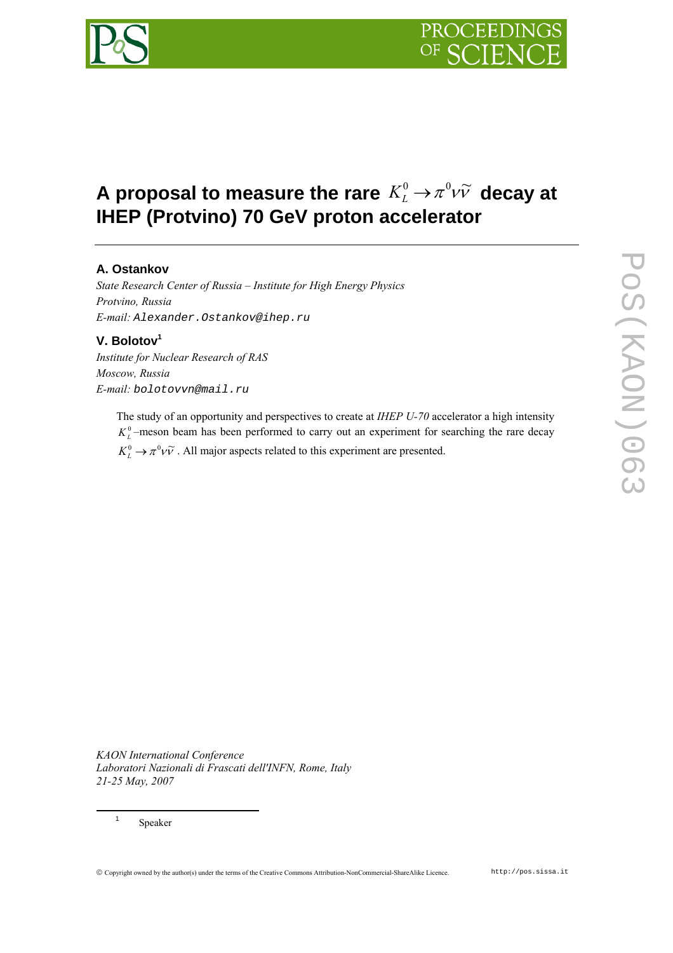# **A proposal to measure the rare**  $K_L^0 \rightarrow \pi^0 \nu \tilde{\nu}$  **decay at IHEP (Protvino) 70 GeV proton accelerator**

# **A. Ostankov**

*State Research Center of Russia – Institute for High Energy Physics Protvino, Russia E-mail: Alexander.Ostankov@ihep.ru* 

## **V. Bolotov<sup>1</sup>**

*Institute for Nuclear Research of RAS Moscow, Russia E-mail: bolotovvn@mail.ru* 

> The study of an opportunity and perspectives to create at *IHEP U-70* accelerator a high intensity  $K<sub>L</sub><sup>0</sup>$  –meson beam has been performed to carry out an experiment for searching the rare decay  $K_L^0 \rightarrow \pi^0 \nu \tilde{\nu}$ . All major aspects related to this experiment are presented.

*KAON International Conference Laboratori Nazionali di Frascati dell'INFN, Rome, Italy 21-25 May, 2007*

Speaker

 $\overline{a}$ 

1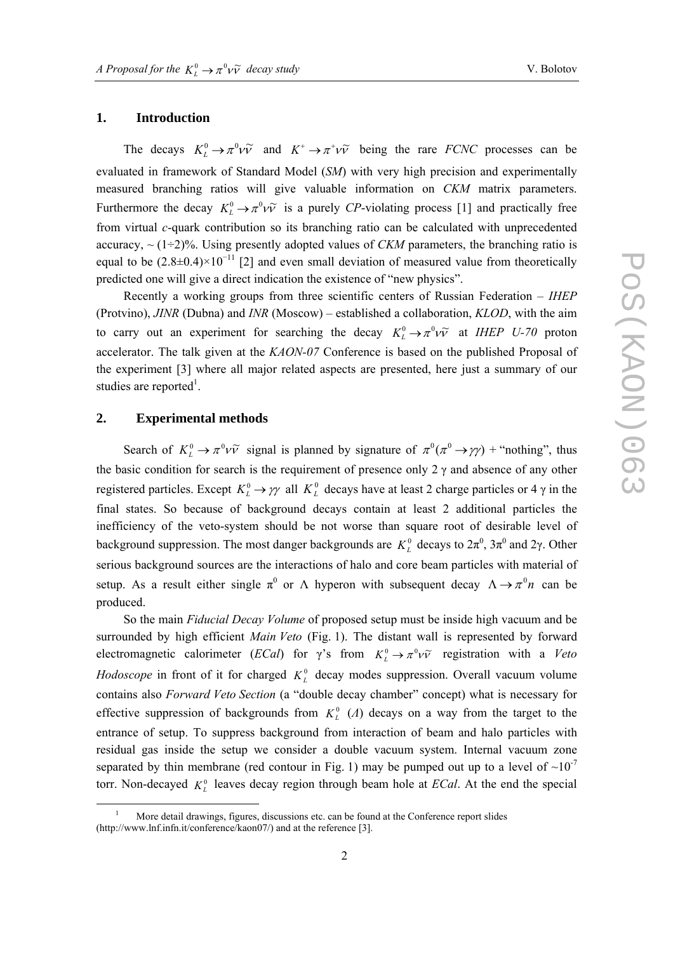### **1. Introduction**

The decays  $K^0_L \to \pi^0 \nu \tilde{\nu}$  and  $K^+ \to \pi^+ \nu \tilde{\nu}$  being the rare *FCNC* processes can be evaluated in framework of Standard Model (*SM*) with very high precision and experimentally measured branching ratios will give valuable information on *CKM* matrix parameters. Furthermore the decay  $K^0_L \rightarrow \pi^0 \nu \tilde{\nu}$  is a purely *CP*-violating process [1] and practically free from virtual *c*-quark contribution so its branching ratio can be calculated with unprecedented accuracy,  $\sim (1\div 2)\%$ . Using presently adopted values of *CKM* parameters, the branching ratio is equal to be  $(2.8\pm0.4)\times10^{-11}$  [2] and even small deviation of measured value from theoretically predicted one will give a direct indication the existence of "new physics".

Recently a working groups from three scientific centers of Russian Federation – *IHEP* (Protvino), *JINR* (Dubna) and *INR* (Moscow) – established a collaboration, *KLOD*, with the aim to carry out an experiment for searching the decay  $K_L^0 \rightarrow \pi^0 \nu \tilde{\nu}$  at *IHEP U-70* proton accelerator. The talk given at the *KAON-07* Conference is based on the published Proposal of the experiment [3] where all major related aspects are presented, here just a summary of our studies are reported<sup>1</sup>.

### **2. Experimental methods**

 $\overline{a}$ 

Search of  $K^0_L \to \pi^0 \nu \tilde{\nu}$  signal is planned by signature of  $\pi^0(\pi^0 \to \gamma \gamma)$  + "nothing", thus the basic condition for search is the requirement of presence only  $2 \gamma$  and absence of any other registered particles. Except  $K_L^0 \to \gamma \gamma$  all  $K_L^0$  decays have at least 2 charge particles or 4  $\gamma$  in the final states. So because of background decays contain at least 2 additional particles the inefficiency of the veto-system should be not worse than square root of desirable level of background suppression. The most danger backgrounds are  $K<sub>L</sub><sup>0</sup>$  decays to  $2\pi<sup>0</sup>$ ,  $3\pi<sup>0</sup>$  and  $2\gamma$ . Other serious background sources are the interactions of halo and core beam particles with material of setup. As a result either single  $\pi^0$  or  $\Lambda$  hyperon with subsequent decay  $\Lambda \rightarrow \pi^0 n$  can be produced.

So the main *Fiducial Decay Volume* of proposed setup must be inside high vacuum and be surrounded by high efficient *Main Veto* (Fig. 1). The distant wall is represented by forward electromagnetic calorimeter (*ECal*) for  $\gamma$ 's from  $K_L^0 \rightarrow \pi^0 \nu \tilde{\nu}$  registration with a *Veto Hodoscope* in front of it for charged  $K<sub>L</sub><sup>0</sup>$  decay modes suppression. Overall vacuum volume contains also *Forward Veto Section* (a "double decay chamber" concept) what is necessary for effective suppression of backgrounds from  $K<sub>L</sub><sup>0</sup>$  (*A*) decays on a way from the target to the entrance of setup. To suppress background from interaction of beam and halo particles with residual gas inside the setup we consider a double vacuum system. Internal vacuum zone separated by thin membrane (red contour in Fig. 1) may be pumped out up to a level of  $\sim 10^{-7}$ torr. Non-decayed  $K<sub>L</sub><sup>0</sup>$  leaves decay region through beam hole at *ECal*. At the end the special

<sup>1</sup> More detail drawings, figures, discussions etc. can be found at the Conference report slides (http://www.lnf.infn.it/conference/kaon07/) and at the reference [3].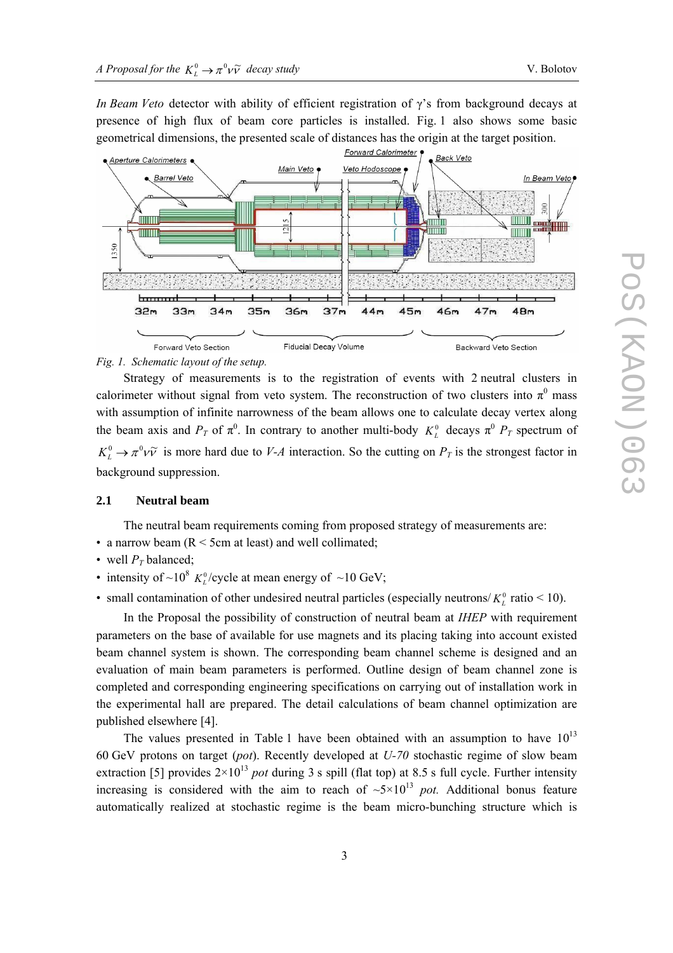*In Beam Veto* detector with ability of efficient registration of γ's from background decays at presence of high flux of beam core particles is installed. Fig. 1 also shows some basic geometrical dimensions, the presented scale of distances has the origin at the target position.



*Fig. 1. Schematic layout of the setup.*

Strategy of measurements is to the registration of events with 2 neutral clusters in calorimeter without signal from veto system. The reconstruction of two clusters into  $\pi^0$  mass with assumption of infinite narrowness of the beam allows one to calculate decay vertex along the beam axis and  $P_T$  of  $\pi^0$ . In contrary to another multi-body  $K_L^0$  decays  $\pi^0$   $P_T$  spectrum of  $K_L^0 \to \pi^0 \nu \tilde{\nu}$  is more hard due to *V-A* interaction. So the cutting on  $P_T$  is the strongest factor in background suppression.

#### **2.1 Neutral beam**

The neutral beam requirements coming from proposed strategy of measurements are:

- a narrow beam  $(R < 5cm$  at least) and well collimated;
- well  $P_T$  balanced;
- intensity of ~10<sup>8</sup>  $K_L^0$ /cycle at mean energy of ~10 GeV;
- small contamination of other undesired neutral particles (especially neutrons/ $K^0_L$  ratio < 10).

In the Proposal the possibility of construction of neutral beam at *IHEP* with requirement parameters on the base of available for use magnets and its placing taking into account existed beam channel system is shown. The corresponding beam channel scheme is designed and an evaluation of main beam parameters is performed. Outline design of beam channel zone is completed and corresponding engineering specifications on carrying out of installation work in the experimental hall are prepared. The detail calculations of beam channel optimization are published elsewhere [4].

The values presented in Table 1 have been obtained with an assumption to have  $10^{13}$ 60 GeV protons on target (*pot*). Recently developed at *U-70* stochastic regime of slow beam extraction [5] provides  $2 \times 10^{13}$  *pot* during 3 s spill (flat top) at 8.5 s full cycle. Further intensity increasing is considered with the aim to reach of  $\sim 5 \times 10^{13}$  *pot*. Additional bonus feature automatically realized at stochastic regime is the beam micro-bunching structure which is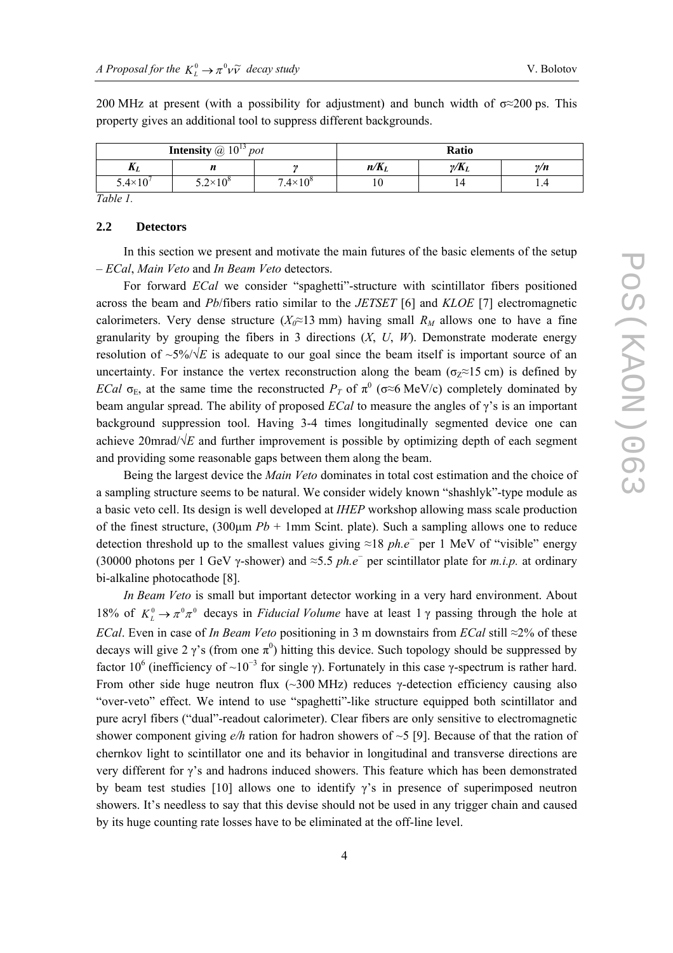| <b>Intensity</b> @ $10^{13}$ <i>pot</i> |                     |                     | Ratio   |              |            |  |
|-----------------------------------------|---------------------|---------------------|---------|--------------|------------|--|
| $\mathbf{u}_L$                          | "                   |                     | $n/K_L$ | $\gamma/K_L$ | $\gamma/n$ |  |
| $5.4\times10^{6}$                       | $5.2 \times 10^{8}$ | $7.4 \times 10^{8}$ | ΙV      |              | 1.T        |  |

200 MHz at present (with a possibility for adjustment) and bunch width of  $\sigma \approx 200$  ps. This property gives an additional tool to suppress different backgrounds.

*Table 1.* 

#### **2.2 Detectors**

In this section we present and motivate the main futures of the basic elements of the setup – *ECal*, *Main Veto* and *In Beam Veto* detectors.

For forward *ECal* we consider "spaghetti"-structure with scintillator fibers positioned across the beam and *Pb*/fibers ratio similar to the *JETSET* [6] and *KLOE* [7] electromagnetic calorimeters. Very dense structure ( $X_0 \approx 13$  mm) having small  $R_M$  allows one to have a fine granularity by grouping the fibers in 3 directions  $(X, U, W)$ . Demonstrate moderate energy resolution of  $\sim 5\%/\sqrt{E}$  is adequate to our goal since the beam itself is important source of an uncertainty. For instance the vertex reconstruction along the beam ( $\sigma$ <sub>z</sub>≈15 cm) is defined by *ECal*  $\sigma$ <sub>E</sub>, at the same time the reconstructed *P<sub>T</sub>* of  $\pi$ <sup>0</sup> ( $\sigma \approx 6$  MeV/c) completely dominated by beam angular spread. The ability of proposed *ECal* to measure the angles of γ's is an important background suppression tool. Having 3-4 times longitudinally segmented device one can achieve 20mrad/ $\sqrt{E}$  and further improvement is possible by optimizing depth of each segment and providing some reasonable gaps between them along the beam.

Being the largest device the *Main Veto* dominates in total cost estimation and the choice of a sampling structure seems to be natural. We consider widely known "shashlyk"-type module as a basic veto cell. Its design is well developed at *IHEP* workshop allowing mass scale production of the finest structure,  $(300 \mu m \, Pb + 1 \, mm \, S\text{cint.}$  plate). Such a sampling allows one to reduce detection threshold up to the smallest values giving ≈18 *ph.e<sup>−</sup>* per 1 MeV of "visible" energy (30000 photons per 1 GeV γ-shower) and ≈5.5 *ph.e<sup>−</sup>* per scintillator plate for *m.i.p.* at ordinary bi-alkaline photocathode [8].

*In Beam Veto* is small but important detector working in a very hard environment. About 18% of  $K_L^0 \to \pi^0 \pi^0$  decays in *Fiducial Volume* have at least 1  $\gamma$  passing through the hole at *ECal*. Even in case of *In Beam Veto* positioning in 3 m downstairs from *ECal* still ≈2% of these decays will give 2  $\gamma$ 's (from one  $\pi^0$ ) hitting this device. Such topology should be suppressed by factor 10<sup>6</sup> (inefficiency of ~10<sup>-3</sup> for single γ). Fortunately in this case γ-spectrum is rather hard. From other side huge neutron flux ( $\sim$ 300 MHz) reduces  $\gamma$ -detection efficiency causing also "over-veto" effect. We intend to use "spaghetti"-like structure equipped both scintillator and pure acryl fibers ("dual"-readout calorimeter). Clear fibers are only sensitive to electromagnetic shower component giving  $e/h$  ration for hadron showers of  $\sim$  5 [9]. Because of that the ration of chernkov light to scintillator one and its behavior in longitudinal and transverse directions are very different for γ's and hadrons induced showers. This feature which has been demonstrated by beam test studies [10] allows one to identify  $\gamma$ 's in presence of superimposed neutron showers. It's needless to say that this devise should not be used in any trigger chain and caused by its huge counting rate losses have to be eliminated at the off-line level.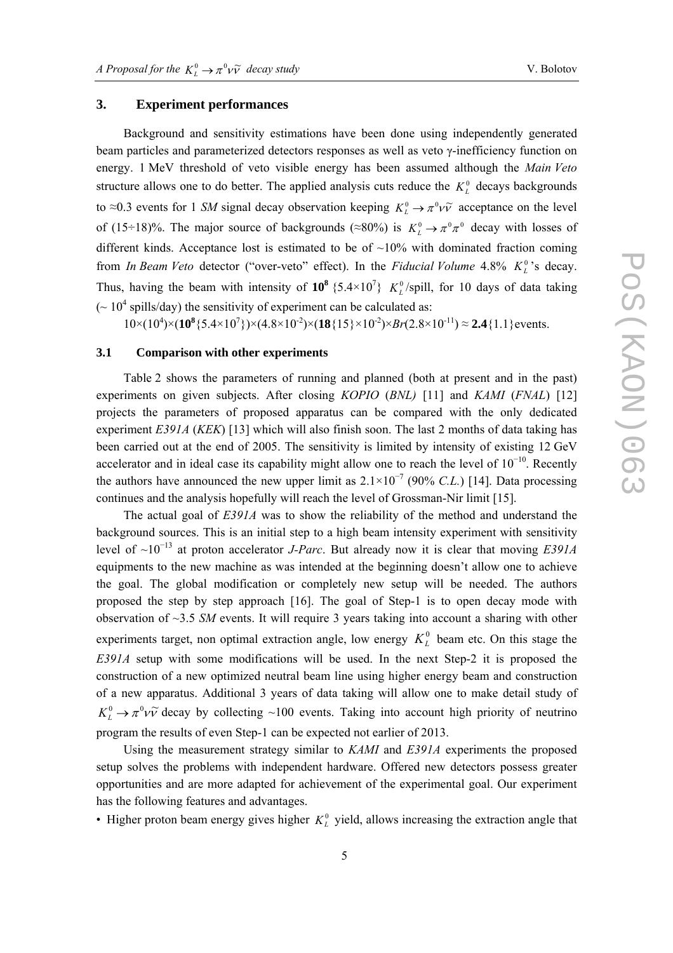### **3. Experiment performances**

Background and sensitivity estimations have been done using independently generated beam particles and parameterized detectors responses as well as veto γ-inefficiency function on energy. 1 MeV threshold of veto visible energy has been assumed although the *Main Veto* structure allows one to do better. The applied analysis cuts reduce the  $K_L^0$  decays backgrounds to ≈0.3 events for 1 *SM* signal decay observation keeping  $K_L^0 \to \pi^0 \nu \tilde{\nu}$  acceptance on the level of (15÷18)%. The major source of backgrounds ( $\approx 80\%$ ) is  $K_L^0 \rightarrow \pi^0 \pi^0$  decay with losses of different kinds. Acceptance lost is estimated to be of  $\sim 10\%$  with dominated fraction coming from *In Beam Veto* detector ("over-veto" effect). In the *Fiducial Volume* 4.8%  $K_L^0$ 's decay. Thus, having the beam with intensity of  $10^8$  {5.4×10<sup>7</sup>}  $K_L^0$ /spill, for 10 days of data taking  $\sim 10^4$  spills/day) the sensitivity of experiment can be calculated as:

 $10 \times (10^4) \times (10^8 \{5.4 \times 10^7\}) \times (4.8 \times 10^{-2}) \times (18 \{15\} \times 10^{-2}) \times Br(2.8 \times 10^{-11}) \approx 2.4 \{1.1\}$  events.

### **3.1 Comparison with other experiments**

Table 2 shows the parameters of running and planned (both at present and in the past) experiments on given subjects. After closing *KOPIO* (*BNL)* [11] and *KAMI* (*FNAL*) [12] projects the parameters of proposed apparatus can be compared with the only dedicated experiment *Е391А* (*KEK*) [13] which will also finish soon. The last 2 months of data taking has been carried out at the end of 2005. The sensitivity is limited by intensity of existing 12 GeV accelerator and in ideal case its capability might allow one to reach the level of  $10^{-10}$ . Recently the authors have announced the new upper limit as  $2.1 \times 10^{-7}$  (90% *C.L.*) [14]. Data processing continues and the analysis hopefully will reach the level of Grossman-Nir limit [15].

The actual goal of *Е391А* was to show the reliability of the method and understand the background sources. This is an initial step to a high beam intensity experiment with sensitivity level of ~10<sup>−</sup>13 at proton accelerator *J-Parc*. But already now it is clear that moving *E391A* equipments to the new machine as was intended at the beginning doesn't allow one to achieve the goal. The global modification or completely new setup will be needed. The authors proposed the step by step approach [16]. The goal of Step-1 is to open decay mode with observation of ~3.5 *SM* events. It will require 3 years taking into account a sharing with other experiments target, non optimal extraction angle, low energy  $K_L^0$  beam etc. On this stage the *E391A* setup with some modifications will be used. In the next Step-2 it is proposed the construction of a new optimized neutral beam line using higher energy beam and construction of a new apparatus. Additional 3 years of data taking will allow one to make detail study of  $K_l^0 \rightarrow \pi^0 \nu \tilde{\nu}$  decay by collecting ~100 events. Taking into account high priority of neutrino program the results of even Step-1 can be expected not earlier of 2013.

Using the measurement strategy similar to *KAMI* and *E391A* experiments the proposed setup solves the problems with independent hardware. Offered new detectors possess greater opportunities and are more adapted for achievement of the experimental goal. Our experiment has the following features and advantages.

• Higher proton beam energy gives higher  $K<sub>L</sub><sup>0</sup>$  yield, allows increasing the extraction angle that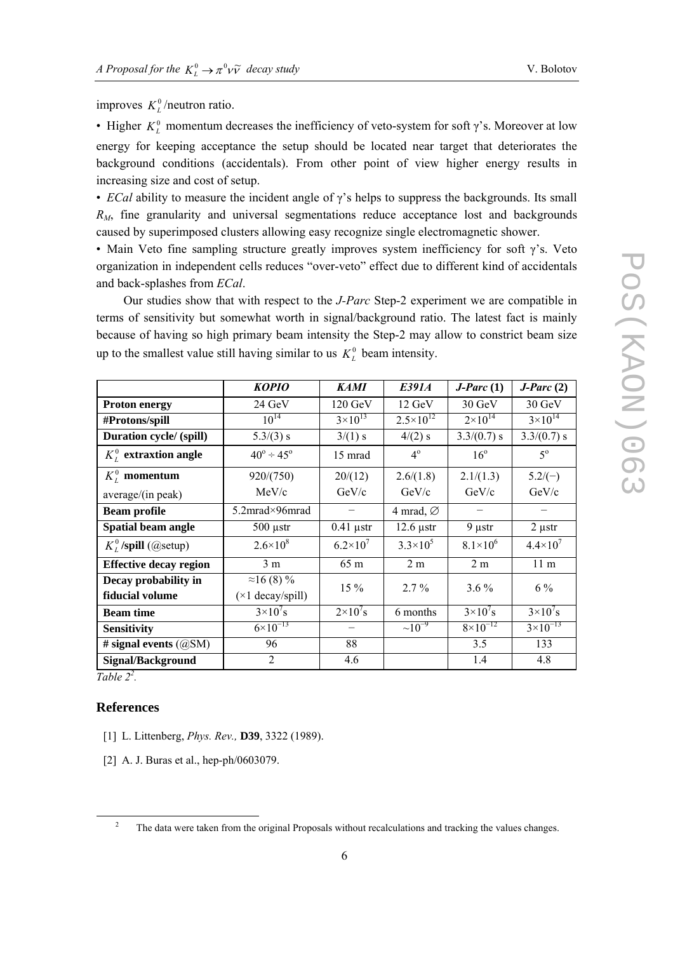improves  $K_L^0$ /neutron ratio.

• Higher  $K_L^0$  momentum decreases the inefficiency of veto-system for soft  $\gamma$ 's. Moreover at low energy for keeping acceptance the setup should be located near target that deteriorates the background conditions (accidentals). From other point of view higher energy results in increasing size and cost of setup.

• *ECal* ability to measure the incident angle of  $\gamma$ 's helps to suppress the backgrounds. Its small *R <sup>M</sup>*, fine granularity and universal segmentations reduce acceptance lost and backgrounds caused by superimposed clusters allowing easy recognize single electromagnetic shower.

• Main Veto fine sampling structure greatly improves system inefficiency for soft  $\gamma$ 's. Veto organization in independent cells reduces "over-veto" effect due to different kind of accidentals and back-splashes from *ECal*.

Our studies show that with respect to the *J-Parc* Step-2 experiment we are compatible in terms of sensitivity but somewhat worth in signal/background ratio. The latest fact is mainly because of having so high primary beam intensity the Step-2 may allow to constrict beam size up to the smallest value still having similar to us  $K_L^0$  beam intensity.

|                                         | <b>KOPIO</b>                                   | <b>KAMI</b>         | E391A                 | $J\text{-}Parc(1)$  | $J\text{-}Parc(2)$  |
|-----------------------------------------|------------------------------------------------|---------------------|-----------------------|---------------------|---------------------|
| <b>Proton energy</b>                    | 24 GeV                                         | 120 GeV             | 12 GeV                | 30 GeV              | 30 GeV              |
| #Protons/spill                          | $10^{14}$                                      | $3 \times 10^{13}$  | $2.5 \times 10^{12}$  | $2 \times 10^{14}$  | $3 \times 10^{14}$  |
| Duration cycle/ (spill)                 | $5.3/(3)$ s                                    | 3/(1) s             | $4/(2)$ s             | $3.3/(0.7)$ s       | $3.3/(0.7)$ s       |
| $K_t^0$ extraxtion angle                | $40^{\circ} \div 45^{\circ}$                   | 15 mrad             | $4^{\circ}$           | $16^{\circ}$        | $5^{\circ}$         |
| $K_t^0$ momentum                        | 920/(750)                                      | 20/(12)             | 2.6/(1.8)             | 2.1/(1.3)           | $5.2/(-)$           |
| average/(in peak)                       | MeV/c                                          | GeV/c               | GeV/c                 | GeV/c               | GeV/c               |
| <b>Beam profile</b>                     | 5.2mrad×96mrad                                 |                     | 4 mrad, $\varnothing$ |                     |                     |
| Spatial beam angle                      | $500 \mu str$                                  | $0.41$ µstr         | $12.6 \mu str$        | $9 \mu str$         | $2 \mu str$         |
| $K_t^0$ /spill (@setup)                 | $2.6 \times 10^8$                              | $6.2 \times 10^{7}$ | $3.3 \times 10^{5}$   | $8.1 \times 10^{6}$ | $4.4 \times 10^{7}$ |
| <b>Effective decay region</b>           | 3 <sub>m</sub>                                 | 65 m                | 2 <sub>m</sub>        | 2 <sub>m</sub>      | 11 <sub>m</sub>     |
| Decay probability in<br>fiducial volume | $\approx$ 16 (8) %<br>$(\times 1$ decay/spill) | $15\%$              | $2.7\%$               | $3.6\%$             | $6\%$               |
| <b>Beam time</b>                        | $3\times10^{7}$ s                              | $2\times10^{7}$ s   | 6 months              | $3\times10^{7}$ s   | $3\times10^{7}$ s   |
| <b>Sensitivity</b>                      | $6 \times 10^{-13}$                            |                     | $\sim 10^{-9}$        | $8 \times 10^{-12}$ | $3 \times 10^{-13}$ |
| # signal events $(QSM)$                 | 96                                             | 88                  |                       | 3.5                 | 133                 |
| <b>Signal/Background</b>                | 2                                              | 4.6                 |                       | 1.4                 | 4.8                 |

 $Table 2<sup>2</sup>$ .

#### **References**

- [1] L. Littenberg, *Phys. Rev.,* **D39**, 3322 (1989).
- [2] A. J. Buras et al., hep-ph/0603079.

<sup>&</sup>lt;sup>2</sup> The data were taken from the original Proposals without recalculations and tracking the values changes.